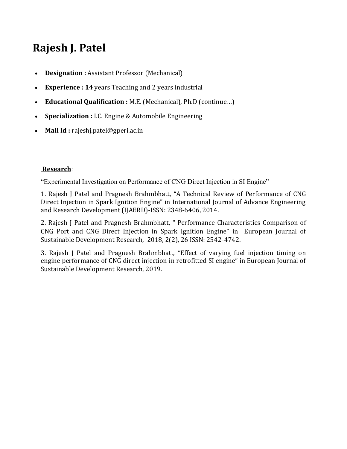# **Rajesh J. Patel**

- **Designation :** Assistant Professor (Mechanical)
- **Experience : 14** years Teaching and 2 years industrial
- **Educational Qualification :** M.E. (Mechanical), Ph.D (continue…)
- **Specialization :** I.C. Engine & Automobile Engineering
- **Mail Id :** rajeshj.patel@gperi.ac.in

## **[Research](https://gperi.ac.in/electrical.php#mapatelOne)**:

"Experimental Investigation on Performance of CNG Direct Injection in SI Engine"

1. Rajesh J Patel and Pragnesh Brahmbhatt, "A Technical Review of Performance of CNG Direct Injection in Spark Ignition Engine" in International Journal of Advance Engineering and Research Development (IJAERD)-ISSN: 2348-6406, 2014.

2. Rajesh J Patel and Pragnesh Brahmbhatt, " Performance Characteristics Comparison of CNG Port and CNG Direct Injection in Spark Ignition Engine" in European Journal of Sustainable Development Research, 2018, 2(2), 26 ISSN: 2542-4742.

3. Rajesh J Patel and Pragnesh Brahmbhatt, "Effect of varying fuel injection timing on engine performance of CNG direct injection in retrofitted SI engine" in European Journal of Sustainable Development Research, 2019.